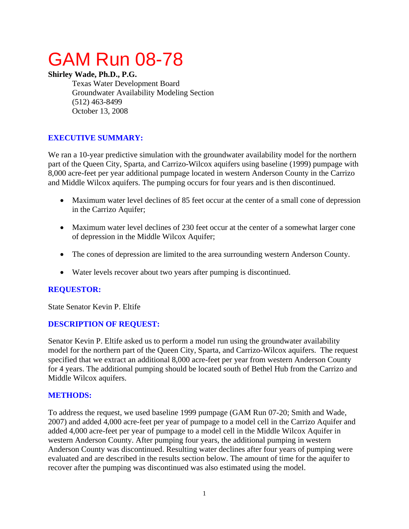# GAM Run 08-78

## **Shirley Wade, Ph.D., P.G.**

Texas Water Development Board Groundwater Availability Modeling Section (512) 463-8499 October 13, 2008

# **EXECUTIVE SUMMARY:**

We ran a 10-year predictive simulation with the groundwater availability model for the northern part of the Queen City, Sparta, and Carrizo-Wilcox aquifers using baseline (1999) pumpage with 8,000 acre-feet per year additional pumpage located in western Anderson County in the Carrizo and Middle Wilcox aquifers. The pumping occurs for four years and is then discontinued.

- Maximum water level declines of 85 feet occur at the center of a small cone of depression in the Carrizo Aquifer;
- Maximum water level declines of 230 feet occur at the center of a somewhat larger cone of depression in the Middle Wilcox Aquifer;
- The cones of depression are limited to the area surrounding western Anderson County.
- Water levels recover about two years after pumping is discontinued.

#### **REQUESTOR:**

State Senator Kevin P. Eltife

#### **DESCRIPTION OF REQUEST:**

Senator Kevin P. Eltife asked us to perform a model run using the groundwater availability model for the northern part of the Queen City, Sparta, and Carrizo-Wilcox aquifers. The request specified that we extract an additional 8,000 acre-feet per year from western Anderson County for 4 years. The additional pumping should be located south of Bethel Hub from the Carrizo and Middle Wilcox aquifers.

#### **METHODS:**

To address the request, we used baseline 1999 pumpage (GAM Run 07-20; Smith and Wade, 2007) and added 4,000 acre-feet per year of pumpage to a model cell in the Carrizo Aquifer and added 4,000 acre-feet per year of pumpage to a model cell in the Middle Wilcox Aquifer in western Anderson County. After pumping four years, the additional pumping in western Anderson County was discontinued. Resulting water declines after four years of pumping were evaluated and are described in the results section below. The amount of time for the aquifer to recover after the pumping was discontinued was also estimated using the model.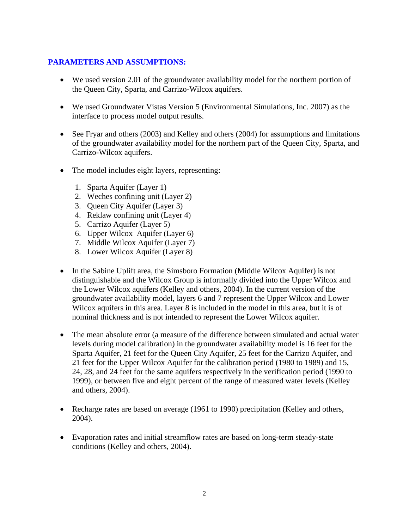## **PARAMETERS AND ASSUMPTIONS:**

- We used version 2.01 of the groundwater availability model for the northern portion of the Queen City, Sparta, and Carrizo-Wilcox aquifers.
- We used Groundwater Vistas Version 5 (Environmental Simulations, Inc. 2007) as the interface to process model output results.
- See Fryar and others (2003) and Kelley and others (2004) for assumptions and limitations of the groundwater availability model for the northern part of the Queen City, Sparta, and Carrizo-Wilcox aquifers.
- The model includes eight layers, representing:
	- 1. Sparta Aquifer (Layer 1)
	- 2. Weches confining unit (Layer 2)
	- 3. Queen City Aquifer (Layer 3)
	- 4. Reklaw confining unit (Layer 4)
	- 5. Carrizo Aquifer (Layer 5)
	- 6. Upper Wilcox Aquifer (Layer 6)
	- 7. Middle Wilcox Aquifer (Layer 7)
	- 8. Lower Wilcox Aquifer (Layer 8)
- In the Sabine Uplift area, the Simsboro Formation (Middle Wilcox Aquifer) is not distinguishable and the Wilcox Group is informally divided into the Upper Wilcox and the Lower Wilcox aquifers (Kelley and others, 2004). In the current version of the groundwater availability model, layers 6 and 7 represent the Upper Wilcox and Lower Wilcox aquifers in this area. Layer 8 is included in the model in this area, but it is of nominal thickness and is not intended to represent the Lower Wilcox aquifer.
- The mean absolute error (a measure of the difference between simulated and actual water levels during model calibration) in the groundwater availability model is 16 feet for the Sparta Aquifer, 21 feet for the Queen City Aquifer, 25 feet for the Carrizo Aquifer, and 21 feet for the Upper Wilcox Aquifer for the calibration period (1980 to 1989) and 15, 24, 28, and 24 feet for the same aquifers respectively in the verification period (1990 to 1999), or between five and eight percent of the range of measured water levels (Kelley and others, 2004).
- Recharge rates are based on average (1961 to 1990) precipitation (Kelley and others, 2004).
- Evaporation rates and initial streamflow rates are based on long-term steady-state conditions (Kelley and others, 2004).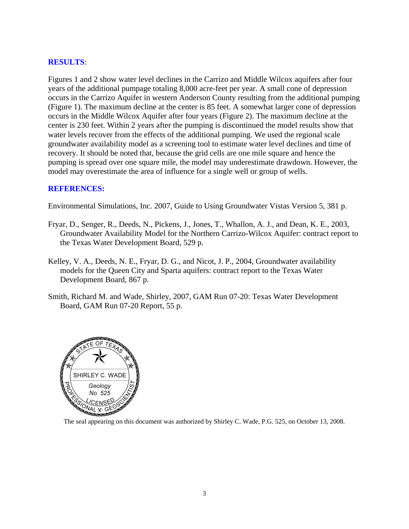#### **RESULTS**:

Figures 1 and 2 show water level declines in the Carrizo and Middle Wilcox aquifers after four years of the additional pumpage totaling 8,000 acre-feet per year. A small cone of depression occurs in the Carrizo Aquifer in western Anderson County resulting from the additional pumping (Figure 1). The maximum decline at the center is 85 feet. A somewhat larger cone of depression occurs in the Middle Wilcox Aquifer after four years (Figure 2). The maximum decline at the center is 230 feet. Within 2 years after the pumping is discontinued the model results show that water levels recover from the effects of the additional pumping. We used the regional scale groundwater availability model as a screening tool to estimate water level declines and time of recovery. It should be noted that, because the grid cells are one mile square and hence the pumping is spread over one square mile, the model may underestimate drawdown. However, the model may overestimate the area of influence for a single well or group of wells.

#### **REFERENCES:**

Environmental Simulations, Inc. 2007, Guide to Using Groundwater Vistas Version 5, 381 p.

- Fryar, D., Senger, R., Deeds, N., Pickens, J., Jones, T., Whallon, A. J., and Dean, K. E., 2003, Groundwater Availability Model for the Northern Carrizo-Wilcox Aquifer: contract report to the Texas Water Development Board, 529 p.
- Kelley, V. A., Deeds, N. E., Fryar, D. G., and Nicot, J. P., 2004, Groundwater availability models for the Queen City and Sparta aquifers: contract report to the Texas Water Development Board, 867 p.
- Smith, Richard M. and Wade, Shirley, 2007, GAM Run 07-20: Texas Water Development Board, GAM Run 07-20 Report, 55 p.



The seal appearing on this document was authorized by Shirley C. Wade, P.G. 525, on October 13, 2008.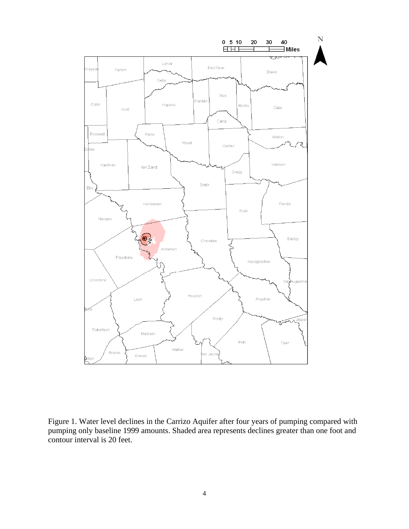

Figure 1. Water level declines in the Carrizo Aquifer after four years of pumping compared with pumping only baseline 1999 amounts. Shaded area represents declines greater than one foot and contour interval is 20 feet.